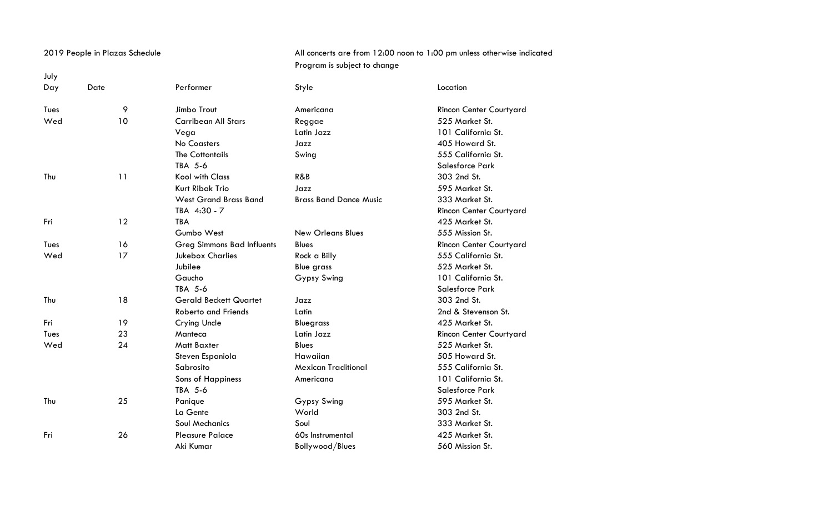July

## 2019 People in Plazas Schedule **All concerts are from 12:00 noon to 1:00** pm unless otherwise indicated Program is subject to change

| Day  | Date | Performer                         | Style                         | Location                |
|------|------|-----------------------------------|-------------------------------|-------------------------|
| Tues | 9    | Jimbo Trout                       | Americana                     | Rincon Center Courtyard |
| Wed  | 10   | <b>Carribean All Stars</b>        | Reggae                        | 525 Market St.          |
|      |      | Vega                              | Latin Jazz                    | 101 California St.      |
|      |      | No Coasters                       | Jazz                          | 405 Howard St.          |
|      |      | <b>The Cottontails</b>            | Swing                         | 555 California St.      |
|      |      | TBA 5-6                           |                               | Salesforce Park         |
| Thu  | 11   | <b>Kool with Class</b>            | R&B                           | 303 2nd St.             |
|      |      | Kurt Ribak Trio                   | Jazz                          | 595 Market St.          |
|      |      | <b>West Grand Brass Band</b>      | <b>Brass Band Dance Music</b> | 333 Market St.          |
|      |      | TBA 4:30 - 7                      |                               | Rincon Center Courtyard |
| Fri  | 12   | <b>TBA</b>                        |                               | 425 Market St.          |
|      |      | Gumbo West                        | <b>New Orleans Blues</b>      | 555 Mission St.         |
| Tues | 16   | <b>Greg Simmons Bad Influents</b> | <b>Blues</b>                  | Rincon Center Courtyard |
| Wed  | 17   | <b>Jukebox Charlies</b>           | Rock a Billy                  | 555 California St.      |
|      |      | Jubilee                           | <b>Blue grass</b>             | 525 Market St.          |
|      |      | Gaucho                            | Gypsy Swing                   | 101 California St.      |
|      |      | TBA 5-6                           |                               | Salesforce Park         |
| Thu  | 18   | <b>Gerald Beckett Quartet</b>     | Jazz                          | 303 2nd St.             |
|      |      | <b>Roberto and Friends</b>        | Latin                         | 2nd & Stevenson St.     |
| Fri  | 19   | Crying Uncle                      | <b>Bluegrass</b>              | 425 Market St.          |
| Tues | 23   | Manteca                           | Latin Jazz                    | Rincon Center Courtyard |
| Wed  | 24   | Matt Baxter                       | <b>Blues</b>                  | 525 Market St.          |
|      |      | Steven Espaniola                  | Hawaiian                      | 505 Howard St.          |
|      |      | Sabrosito                         | <b>Mexican Traditional</b>    | 555 California St.      |
|      |      | Sons of Happiness                 | Americana                     | 101 California St.      |
|      |      | TBA 5-6                           |                               | Salesforce Park         |
| Thu  | 25   | Panique                           | Gypsy Swing                   | 595 Market St.          |
|      |      | La Gente                          | World                         | 303 2nd St.             |
|      |      | <b>Soul Mechanics</b>             | Soul                          | 333 Market St.          |
| Fri  | 26   | <b>Pleasure Palace</b>            | 60s Instrumental              | 425 Market St.          |
|      |      | Aki Kumar                         | Bollywood/Blues               | 560 Mission St.         |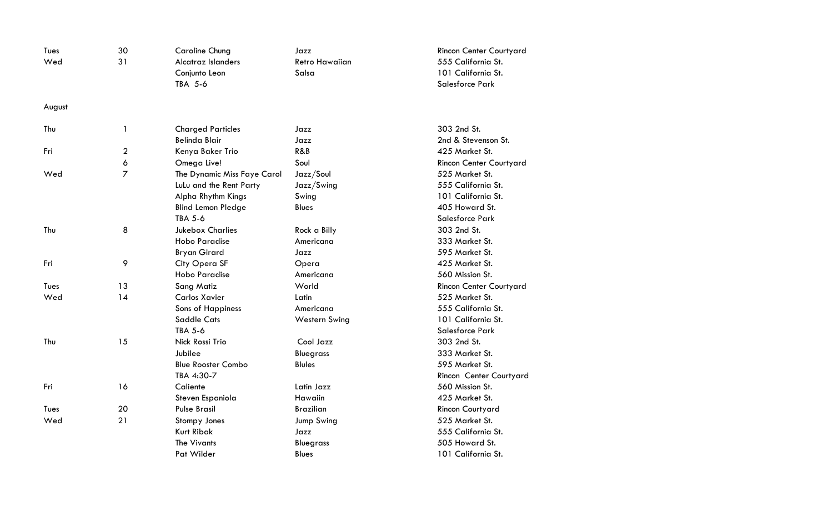| Tues   | 30             | <b>Caroline Chung</b>       | Jazz                  | Rincon Center Courtyard |
|--------|----------------|-----------------------------|-----------------------|-------------------------|
| Wed    | 31             | Alcatraz Islanders          | <b>Retro Hawaiian</b> | 555 California St.      |
|        |                | Conjunto Leon               | Salsa                 | 101 California St.      |
|        |                | TBA 5-6                     |                       | <b>Salesforce Park</b>  |
| August |                |                             |                       |                         |
| Thu    | 1              | <b>Charged Particles</b>    | Jazz                  | 303 2nd St.             |
|        |                | <b>Belinda Blair</b>        | Jazz                  | 2nd & Stevenson St.     |
| Fri    | $\overline{2}$ | Kenya Baker Trio            | R&B                   | 425 Market St.          |
|        | 6              | Omega Live!                 | Soul                  | Rincon Center Courtyard |
| Wed    | 7              | The Dynamic Miss Faye Carol | Jazz/Soul             | 525 Market St.          |
|        |                | LuLu and the Rent Party     | Jazz/Swing            | 555 California St.      |
|        |                | Alpha Rhythm Kings          | Swing                 | 101 California St.      |
|        |                | <b>Blind Lemon Pledge</b>   | <b>Blues</b>          | 405 Howard St.          |
|        |                | TBA 5-6                     |                       | Salesforce Park         |
| Thu    | 8              | <b>Jukebox Charlies</b>     | Rock a Billy          | 303 2nd St.             |
|        |                | <b>Hobo Paradise</b>        | Americana             | 333 Market St.          |
|        |                | <b>Bryan Girard</b>         | Jazz                  | 595 Market St.          |
| Fri    | 9              | City Opera SF               | Opera                 | 425 Market St.          |
|        |                | <b>Hobo Paradise</b>        | Americana             | 560 Mission St.         |
| Tues   | 13             | Sang Matiz                  | World                 | Rincon Center Courtyard |
| Wed    | 14             | Carlos Xavier               | Latin                 | 525 Market St.          |
|        |                | <b>Sons of Happiness</b>    | Americana             | 555 California St.      |
|        |                | <b>Saddle Cats</b>          | <b>Western Swing</b>  | 101 California St.      |
|        |                | <b>TBA 5-6</b>              |                       | <b>Salesforce Park</b>  |
| Thu    | 15             | Nick Rossi Trio             | Cool Jazz             | 303 2nd St.             |
|        |                | Jubilee                     | <b>Bluegrass</b>      | 333 Market St.          |
|        |                | <b>Blue Rooster Combo</b>   | <b>Blules</b>         | 595 Market St.          |
|        |                | TBA 4:30-7                  |                       | Rincon Center Courtyard |
| Fri    | 16             | Caliente                    | Latin Jazz            | 560 Mission St.         |
|        |                | Steven Espaniola            | Hawaiin               | 425 Market St.          |
| Tues   | 20             | <b>Pulse Brasil</b>         | <b>Brazilian</b>      | Rincon Courtyard        |
| Wed    | 21             | Stompy Jones                | Jump Swing            | 525 Market St.          |
|        |                | <b>Kurt Ribak</b>           | Jazz                  | 555 California St.      |
|        |                | <b>The Vivants</b>          | <b>Bluegrass</b>      | 505 Howard St.          |
|        |                | Pat Wilder                  | <b>Blues</b>          | 101 California St.      |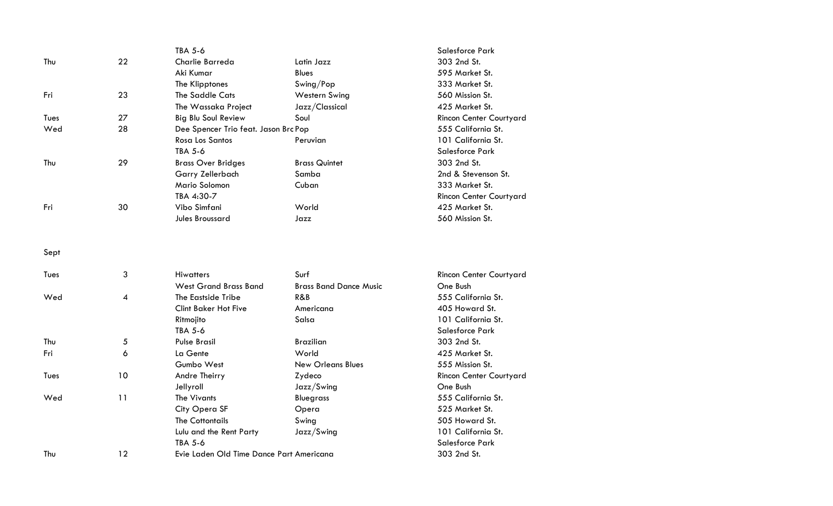|      |                | TBA 5-6                                  |                               | Salesforce Park         |
|------|----------------|------------------------------------------|-------------------------------|-------------------------|
| Thu  | 22             | Charlie Barreda                          | Latin Jazz                    | 303 2nd St.             |
|      |                | Aki Kumar                                | <b>Blues</b>                  | 595 Market St.          |
|      |                | The Klipptones                           | Swing/Pop                     | 333 Market St.          |
| Fri  | 23             | The Saddle Cats                          | <b>Western Swing</b>          | 560 Mission St.         |
|      |                | The Wassaka Project                      | Jazz/Classical                | 425 Market St.          |
| Tues | 27             | <b>Big Blu Soul Review</b>               | Soul                          | Rincon Center Courtyard |
| Wed  | 28             | Dee Spencer Trio feat. Jason Brc Pop     |                               | 555 California St.      |
|      |                | Rosa Los Santos                          | Peruvian                      | 101 California St.      |
|      |                | <b>TBA 5-6</b>                           |                               | Salesforce Park         |
| Thu  | 29             | <b>Brass Over Bridges</b>                | <b>Brass Quintet</b>          | 303 2nd St.             |
|      |                | Garry Zellerbach                         | Samba                         | 2nd & Stevenson St.     |
|      |                | Mario Solomon                            | Cuban                         | 333 Market St.          |
|      |                | TBA 4:30-7                               |                               | Rincon Center Courtyard |
| Fri  | 30             | Vibo Simfani                             | World                         | 425 Market St.          |
|      |                | Jules Broussard                          | Jazz                          | 560 Mission St.         |
| Sept |                |                                          |                               |                         |
| Tues | 3              | <b>Hiwatters</b>                         | Surf                          | Rincon Center Courtyard |
|      |                | <b>West Grand Brass Band</b>             | <b>Brass Band Dance Music</b> | One Bush                |
| Wed  | $\overline{4}$ | The Eastside Tribe                       | R&B                           | 555 California St.      |
|      |                | <b>Clint Baker Hot Five</b>              | Americana                     | 405 Howard St.          |
|      |                | Ritmojito                                | Salsa                         | 101 California St.      |
|      |                | TBA 5-6                                  |                               | Salesforce Park         |
| Thu  | 5              | <b>Pulse Brasil</b>                      | <b>Brazilian</b>              | 303 2nd St.             |
| Fri  | 6              | La Gente                                 | World                         | 425 Market St.          |
|      |                | Gumbo West                               | <b>New Orleans Blues</b>      | 555 Mission St.         |
| Tues | 10             | Andre Theirry                            | Zydeco                        | Rincon Center Courtyard |
|      |                | Jellyroll                                | Jazz/Swing                    | One Bush                |
| Wed  | 11             | The Vivants                              | <b>Bluegrass</b>              | 555 California St.      |
|      |                | City Opera SF                            | Opera                         | 525 Market St.          |
|      |                | <b>The Cottontails</b>                   | Swing                         | 505 Howard St.          |
|      |                | Lulu and the Rent Party                  | Jazz/Swing                    | 101 California St.      |
|      |                | TBA 5-6                                  |                               | Salesforce Park         |
| Thu  | 12             | Evie Laden Old Time Dance Part Americana |                               | 303 2nd St.             |